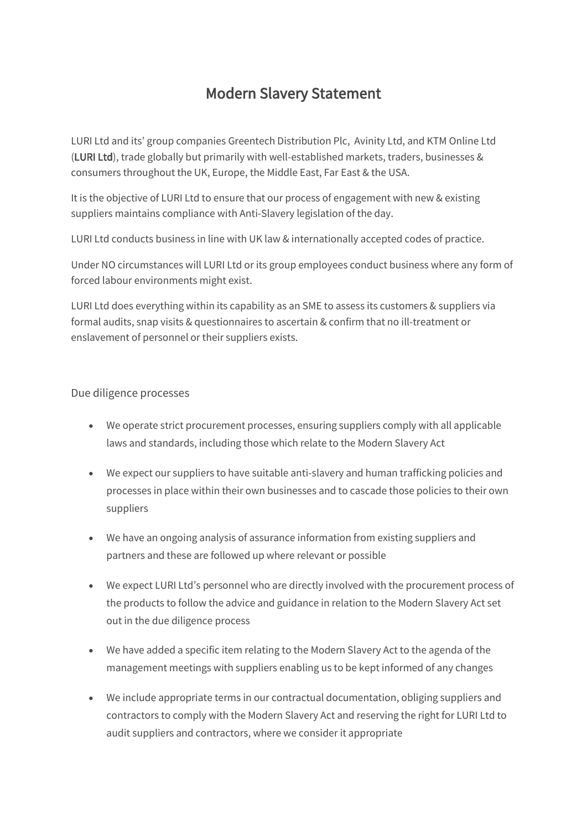## Modern Slavery Statement

LURI Ltd and its' group companies Greentech Distribution Plc, Avinity Ltd, and KTM Online Ltd (LURI Ltd), trade globally but primarily with well-established markets, traders, businesses & consumers throughout the UK, Europe, the Middle East, Far East & the USA.

It is the objective of LURI Ltd to ensure that our process of engagement with new & existing suppliers maintains compliance with Anti-Slavery legislation of the day.

LURI Ltd conducts business in line with UK law & internationally accepted codes of practice.

Under NO circumstances will LURI Ltd or its group employees conduct business where any form of forced labour environments might exist.

LURI Ltd does everything within its capability as an SME to assess its customers & suppliers via formal audits, snap visits & questionnaires to ascertain & confirm that no ill-treatment or enslavement of personnel or their suppliers exists.

## Due diligence processes

- We operate strict procurement processes, ensuring suppliers comply with all applicable laws and standards, including those which relate to the Modern Slavery Act
- We expect our suppliers to have suitable anti-slavery and human trafficking policies and processes in place within their own businesses and to cascade those policies to their own suppliers
- We have an ongoing analysis of assurance information from existing suppliers and partners and these are followed up where relevant or possible
- We expect LURI Ltd's personnel who are directly involved with the procurement process of the products to follow the advice and guidance in relation to the Modern Slavery Act set out in the due diligence process
- We have added a specific item relating to the Modern Slavery Act to the agenda of the management meetings with suppliers enabling us to be kept informed of any changes
- We include appropriate terms in our contractual documentation, obliging suppliers and contractors to comply with the Modern Slavery Act and reserving the right for LURI Ltd to audit suppliers and contractors, where we consider it appropriate